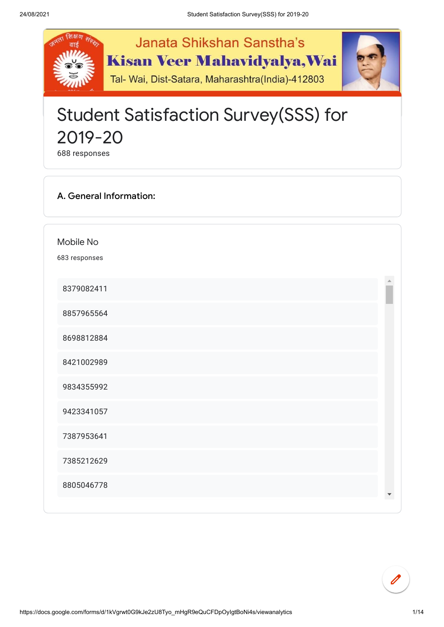

## Student Satisfaction Survey(SSS) for 2019-20

responses

## A. General Information:

Mobile No

responses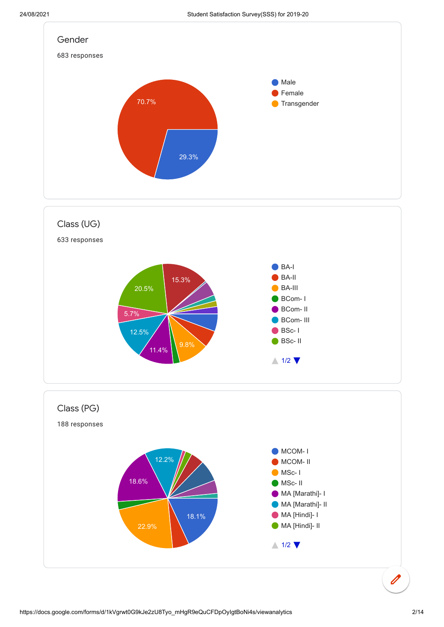



 $\overline{\mathscr{O}}$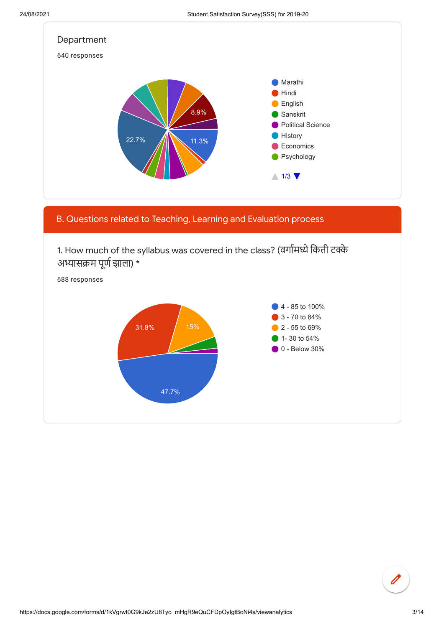

1. How much of the syllabus was covered in the class? (वर्गामध्ये किती टक्के अभ्यासक्रम पूर्ण झाला) \*

B. Questions related to Teaching, Learning and Evaluation process



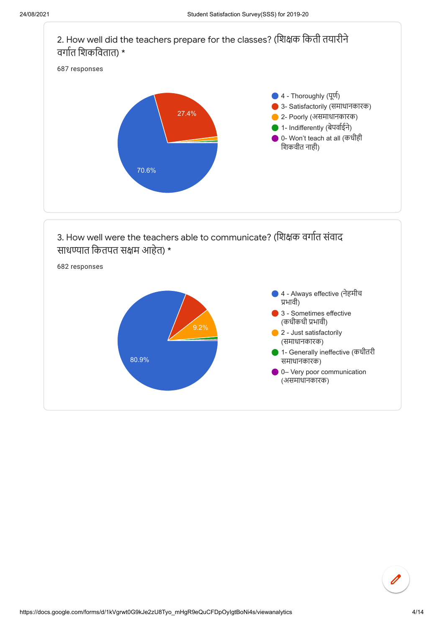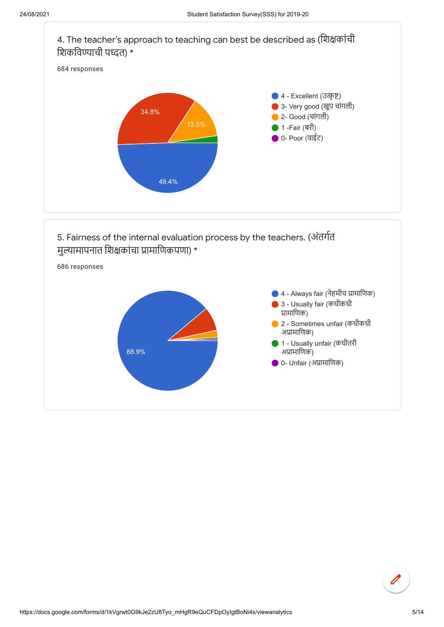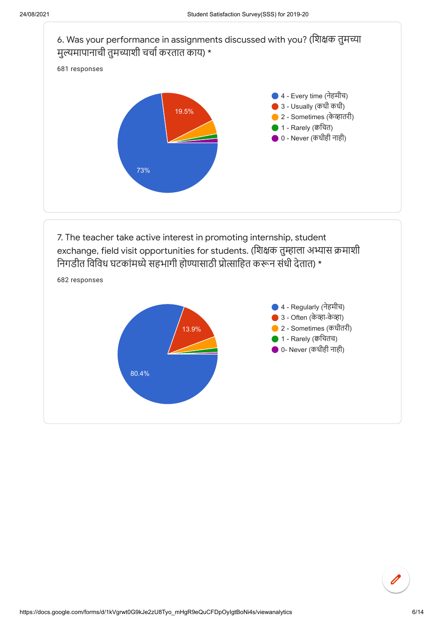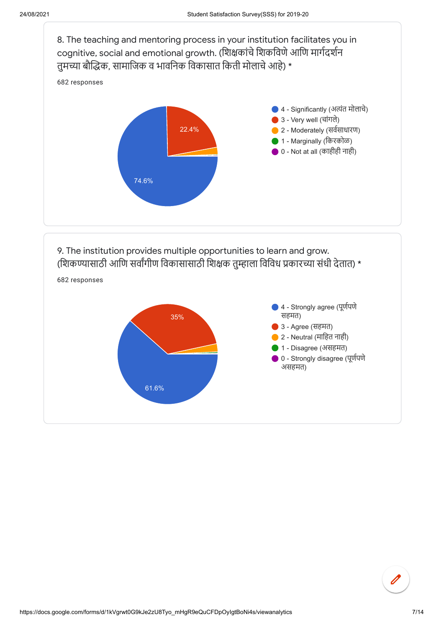

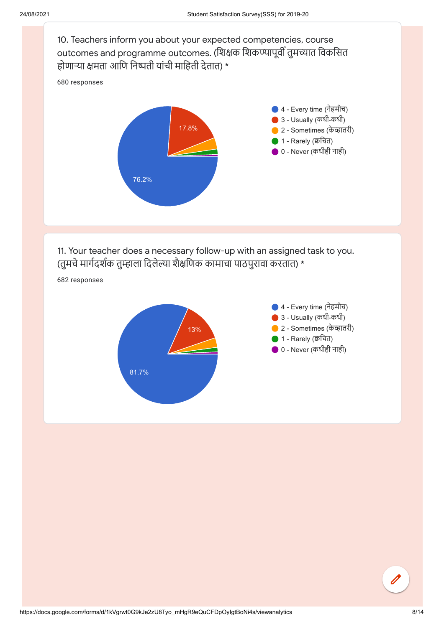10. Teachers inform you about your expected competencies, course outcomes and programme outcomes. (शिक्षक शिकण्यापूर्वी तुमच्यात विकसित होणाऱ्या क्षमता आणि निष्पती यांची माहिती देतात) \*

680 responses



11. Your teacher does a necessary follow-up with an assigned task to you. (तुमचे मार्गदर्शक तुम्हाला दिलेल्या शैक्षणिक कामाचा पाठपुरावा करतात) \*

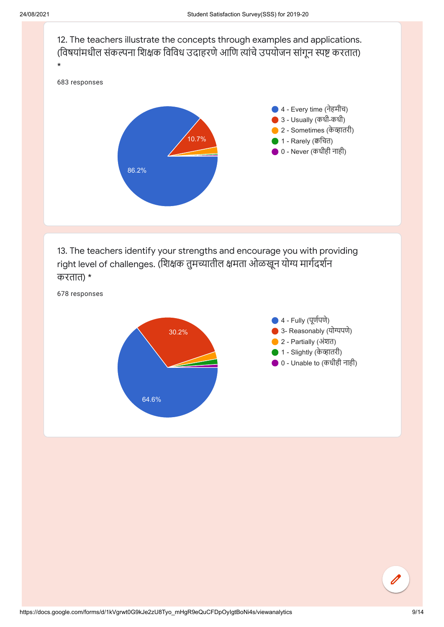

13. The teachers identify your strengths and encourage you with providing right level of challenges. (शिक्षक तुमच्यातील क्षमता ओळखून योग्य मार्गदर्शन करतात) \*

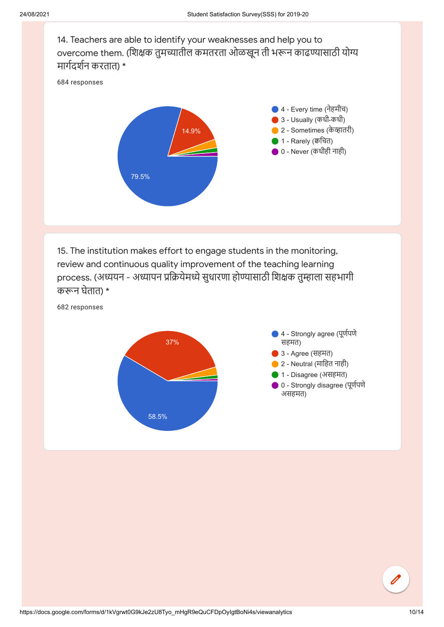14. Teachers are able to identify your weaknesses and help you to overcome them. (शिक्षक तुमच्यातील कमतरता ओळखून ती भरून काढण्यासाठी योग्य मार्गदर्शन करतात) \*

684 responses



15. The institution makes effort to engage students in the monitoring, review and continuous quality improvement of the teaching learning process. (अध्ययन - अध्यापन प्रक्रियेमध्ये सुधारणा होण्यासाठी शिक्षक तुम्हाला सहभागी करून घेतात) \*

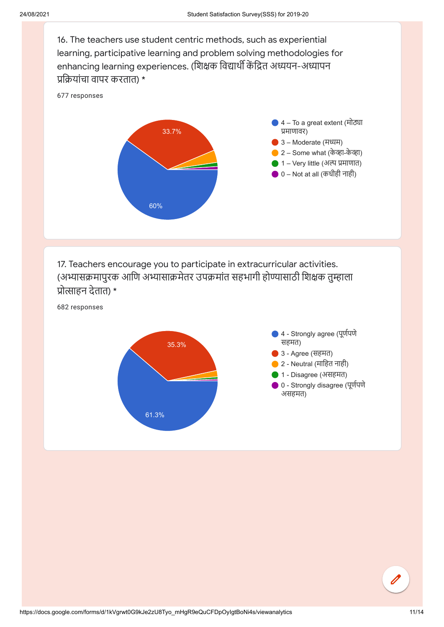16. The teachers use student centric methods, such as experiential learning, participative learning and problem solving methodologies for enhancing learning experiences. (शिक्षक विद्यार्थी केंद्रित अध्ययन-अध्यापन प्रक्रियांचा वापर करतात) \*



17. Teachers encourage you to participate in extracurricular activities. (अभ्यासक्रमापुरक आणि अभ्यासाक्रमेतर उपक्रमांत सहभागी होण्यासाठी शिक्षक तुम्हाला प्रोत्साहन देतात) \*



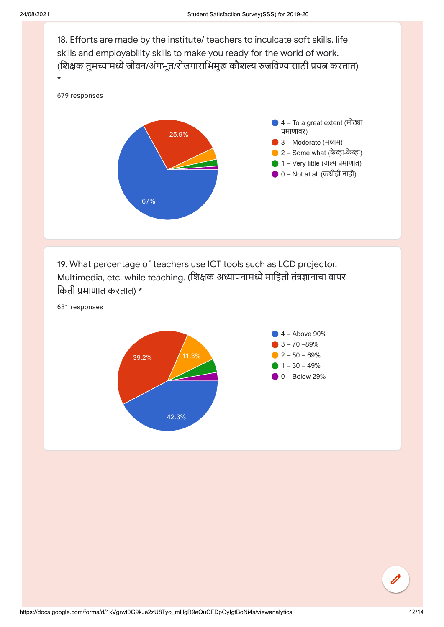

19. What percentage of teachers use ICT tools such as LCD projector, Multimedia, etc. while teaching. (शिक्षक अध्यापनामध्ये माहिती तंत्रज्ञानाचा वापर किती प्रमाणात करतात) \*